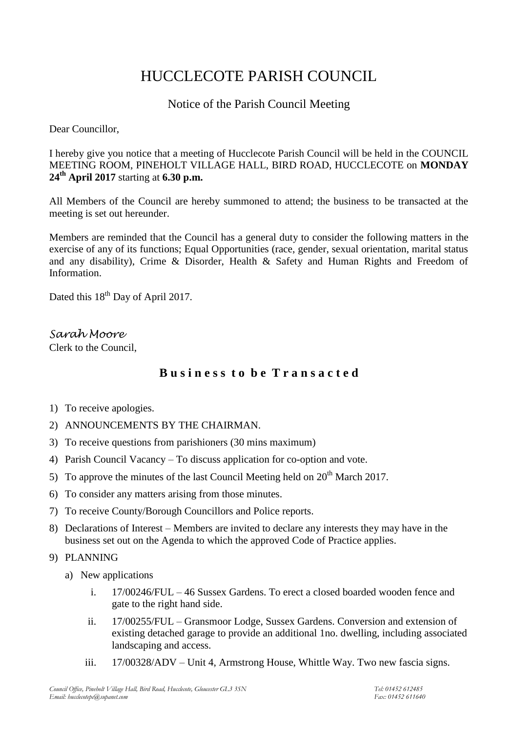# HUCCLECOTE PARISH COUNCIL

# Notice of the Parish Council Meeting

Dear Councillor,

I hereby give you notice that a meeting of Hucclecote Parish Council will be held in the COUNCIL MEETING ROOM, PINEHOLT VILLAGE HALL, BIRD ROAD, HUCCLECOTE on **MONDAY 24th April 2017** starting at **6.30 p.m.**

All Members of the Council are hereby summoned to attend; the business to be transacted at the meeting is set out hereunder.

Members are reminded that the Council has a general duty to consider the following matters in the exercise of any of its functions; Equal Opportunities (race, gender, sexual orientation, marital status and any disability), Crime & Disorder, Health & Safety and Human Rights and Freedom of Information.

Dated this 18<sup>th</sup> Day of April 2017.

*Sarah Moore* Clerk to the Council,

# **B u s i n e s s t o b e T r a n s a c t e d**

- 1) To receive apologies.
- 2) ANNOUNCEMENTS BY THE CHAIRMAN.
- 3) To receive questions from parishioners (30 mins maximum)
- 4) Parish Council Vacancy To discuss application for co-option and vote.
- 5) To approve the minutes of the last Council Meeting held on  $20<sup>th</sup>$  March 2017.
- 6) To consider any matters arising from those minutes.
- 7) To receive County/Borough Councillors and Police reports.
- 8) Declarations of Interest Members are invited to declare any interests they may have in the business set out on the Agenda to which the approved Code of Practice applies.
- 9) PLANNING
	- a) New applications
		- i. 17/00246/FUL 46 Sussex Gardens. To erect a closed boarded wooden fence and gate to the right hand side.
		- ii. 17/00255/FUL Gransmoor Lodge, Sussex Gardens. Conversion and extension of existing detached garage to provide an additional 1no. dwelling, including associated landscaping and access.
		- iii. 17/00328/ADV Unit 4, Armstrong House, Whittle Way. Two new fascia signs.